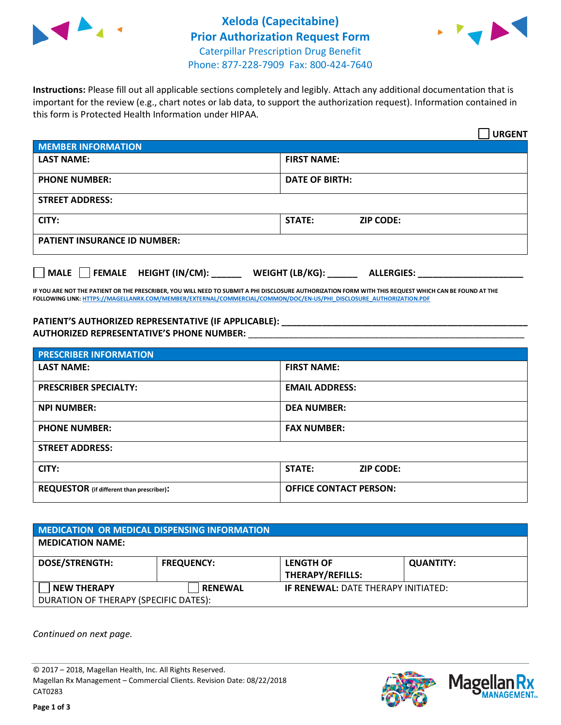



**Instructions:** Please fill out all applicable sections completely and legibly. Attach any additional documentation that is important for the review (e.g., chart notes or lab data, to support the authorization request). Information contained in this form is Protected Health Information under HIPAA.

|                                       | <b>URGENT</b>                        |  |  |  |
|---------------------------------------|--------------------------------------|--|--|--|
| <b>MEMBER INFORMATION</b>             |                                      |  |  |  |
| <b>LAST NAME:</b>                     | <b>FIRST NAME:</b>                   |  |  |  |
| <b>PHONE NUMBER:</b>                  | <b>DATE OF BIRTH:</b>                |  |  |  |
| <b>STREET ADDRESS:</b>                |                                      |  |  |  |
| CITY:                                 | <b>STATE:</b><br><b>ZIP CODE:</b>    |  |  |  |
| <b>PATIENT INSURANCE ID NUMBER:</b>   |                                      |  |  |  |
| FEMALE HEIGHT (IN/CM):<br><b>MALE</b> | WEIGHT (LB/KG):<br><b>ALLERGIES:</b> |  |  |  |

**IF YOU ARE NOT THE PATIENT OR THE PRESCRIBER, YOU WILL NEED TO SUBMIT A PHI DISCLOSURE AUTHORIZATION FORM WITH THIS REQUEST WHICH CAN BE FOUND AT THE FOLLOWING LINK[: HTTPS://MAGELLANRX.COM/MEMBER/EXTERNAL/COMMERCIAL/COMMON/DOC/EN-US/PHI\\_DISCLOSURE\\_AUTHORIZATION.PDF](https://magellanrx.com/member/external/commercial/common/doc/en-us/PHI_Disclosure_Authorization.pdf)**

**PATIENT'S AUTHORIZED REPRESENTATIVE (IF APPLICABLE): \_\_\_\_\_\_\_\_\_\_\_\_\_\_\_\_\_\_\_\_\_\_\_\_\_\_\_\_\_\_\_\_\_\_\_\_\_\_\_\_\_\_\_\_\_\_\_\_\_ AUTHORIZED REPRESENTATIVE'S PHONE NUMBER:** \_\_\_\_\_\_\_\_\_\_\_\_\_\_\_\_\_\_\_\_\_\_\_\_\_\_\_\_\_\_\_\_\_\_\_\_\_\_\_\_\_\_\_\_\_\_\_\_\_\_\_\_\_\_\_

| <b>PRESCRIBER INFORMATION</b>             |                                   |  |  |  |
|-------------------------------------------|-----------------------------------|--|--|--|
| <b>LAST NAME:</b>                         | <b>FIRST NAME:</b>                |  |  |  |
| <b>PRESCRIBER SPECIALTY:</b>              | <b>EMAIL ADDRESS:</b>             |  |  |  |
| <b>NPI NUMBER:</b>                        | <b>DEA NUMBER:</b>                |  |  |  |
| <b>PHONE NUMBER:</b>                      | <b>FAX NUMBER:</b>                |  |  |  |
| <b>STREET ADDRESS:</b>                    |                                   |  |  |  |
| CITY:                                     | <b>STATE:</b><br><b>ZIP CODE:</b> |  |  |  |
| REQUESTOR (if different than prescriber): | <b>OFFICE CONTACT PERSON:</b>     |  |  |  |

| <b>MEDICATION OR MEDICAL DISPENSING INFORMATION</b> |                   |                                            |                  |  |  |
|-----------------------------------------------------|-------------------|--------------------------------------------|------------------|--|--|
| <b>MEDICATION NAME:</b>                             |                   |                                            |                  |  |  |
| <b>DOSE/STRENGTH:</b>                               | <b>FREQUENCY:</b> | <b>LENGTH OF</b>                           | <b>QUANTITY:</b> |  |  |
|                                                     |                   | <b>THERAPY/REFILLS:</b>                    |                  |  |  |
| <b>NEW THERAPY</b>                                  | <b>RENEWAL</b>    | <b>IF RENEWAL: DATE THERAPY INITIATED:</b> |                  |  |  |
| DURATION OF THERAPY (SPECIFIC DATES):               |                   |                                            |                  |  |  |

*Continued on next page.*

© 2017 – 2018, Magellan Health, Inc. All Rights Reserved. Magellan Rx Management – Commercial Clients. Revision Date: 08/22/2018 CAT0283



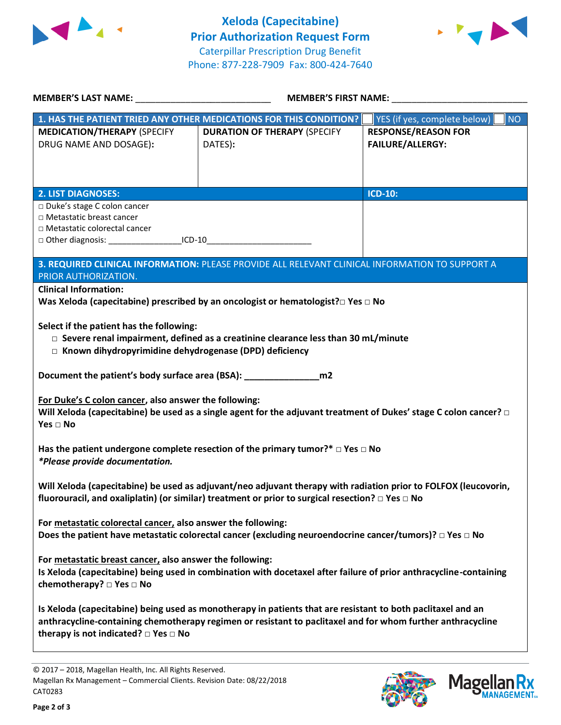



| MEMBER'S LAST NAME: NAME:                                                                                                                                                                                                                                                                                             | <b>MEMBER'S FIRST NAME:</b>                                                                     |                                                       |  |  |
|-----------------------------------------------------------------------------------------------------------------------------------------------------------------------------------------------------------------------------------------------------------------------------------------------------------------------|-------------------------------------------------------------------------------------------------|-------------------------------------------------------|--|--|
| 1. HAS THE PATIENT TRIED ANY OTHER MEDICATIONS FOR THIS CONDITION?                                                                                                                                                                                                                                                    |                                                                                                 | NO<br>YES (if yes, complete below)                    |  |  |
| <b>MEDICATION/THERAPY (SPECIFY</b><br>DRUG NAME AND DOSAGE):                                                                                                                                                                                                                                                          | <b>DURATION OF THERAPY (SPECIFY</b><br>DATES):                                                  | <b>RESPONSE/REASON FOR</b><br><b>FAILURE/ALLERGY:</b> |  |  |
| <b>2. LIST DIAGNOSES:</b>                                                                                                                                                                                                                                                                                             |                                                                                                 | <b>ICD-10:</b>                                        |  |  |
| □ Duke's stage C colon cancer<br>□ Metastatic breast cancer<br>□ Metastatic colorectal cancer<br>□ Other diagnosis: ____________________ICD-10__________________________________                                                                                                                                      |                                                                                                 |                                                       |  |  |
| PRIOR AUTHORIZATION.                                                                                                                                                                                                                                                                                                  | 3. REQUIRED CLINICAL INFORMATION: PLEASE PROVIDE ALL RELEVANT CLINICAL INFORMATION TO SUPPORT A |                                                       |  |  |
| <b>Clinical Information:</b><br>Was Xeloda (capecitabine) prescribed by an oncologist or hematologist? $\square$ Yes $\square$ No<br>Select if the patient has the following:<br>$\square$ Severe renal impairment, defined as a creatinine clearance less than 30 mL/minute                                          |                                                                                                 |                                                       |  |  |
| □ Known dihydropyrimidine dehydrogenase (DPD) deficiency<br>Document the patient's body surface area (BSA): ___________________ m2<br>For Duke's C colon cancer, also answer the following:<br>Will Xeloda (capecitabine) be used as a single agent for the adjuvant treatment of Dukes' stage C colon cancer? $\Box$ |                                                                                                 |                                                       |  |  |
| Yes $\Box$ No<br>Has the patient undergone complete resection of the primary tumor?* $\Box$ Yes $\Box$ No<br>*Please provide documentation.                                                                                                                                                                           |                                                                                                 |                                                       |  |  |
| Will Xeloda (capecitabine) be used as adjuvant/neo adjuvant therapy with radiation prior to FOLFOX (leucovorin,<br>fluorouracil, and oxaliplatin) (or similar) treatment or prior to surgical resection? $\square$ Yes $\square$ No                                                                                   |                                                                                                 |                                                       |  |  |
| For metastatic colorectal cancer, also answer the following:<br>Does the patient have metastatic colorectal cancer (excluding neuroendocrine cancer/tumors)? $\Box$ Yes $\Box$ No                                                                                                                                     |                                                                                                 |                                                       |  |  |
| For metastatic breast cancer, also answer the following:<br>Is Xeloda (capecitabine) being used in combination with docetaxel after failure of prior anthracycline-containing<br>chemotherapy? $\square$ Yes $\square$ No                                                                                             |                                                                                                 |                                                       |  |  |
| Is Xeloda (capecitabine) being used as monotherapy in patients that are resistant to both paclitaxel and an<br>anthracycline-containing chemotherapy regimen or resistant to paclitaxel and for whom further anthracycline<br>therapy is not indicated? $\Box$ Yes $\Box$ No                                          |                                                                                                 |                                                       |  |  |